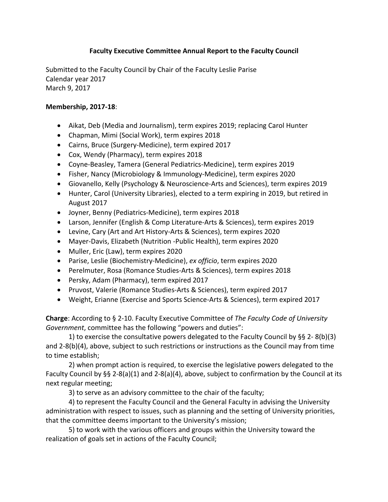## **Faculty Executive Committee Annual Report to the Faculty Council**

Submitted to the Faculty Council by Chair of the Faculty Leslie Parise Calendar year 2017 March 9, 2017

#### **Membership, 2017-18**:

- Aikat, Deb (Media and Journalism), term expires 2019; replacing Carol Hunter
- Chapman, Mimi (Social Work), term expires 2018
- Cairns, Bruce (Surgery-Medicine), term expired 2017
- Cox, Wendy (Pharmacy), term expires 2018
- Coyne-Beasley, Tamera (General Pediatrics-Medicine), term expires 2019
- Fisher, Nancy (Microbiology & Immunology-Medicine), term expires 2020
- Giovanello, Kelly (Psychology & Neuroscience-Arts and Sciences), term expires 2019
- Hunter, Carol (University Libraries), elected to a term expiring in 2019, but retired in August 2017
- Joyner, Benny (Pediatrics-Medicine), term expires 2018
- Larson, Jennifer (English & Comp Literature-Arts & Sciences), term expires 2019
- Levine, Cary (Art and Art History-Arts & Sciences), term expires 2020
- Mayer-Davis, Elizabeth (Nutrition -Public Health), term expires 2020
- Muller, Eric (Law), term expires 2020
- Parise, Leslie (Biochemistry-Medicine), ex officio, term expires 2020
- Perelmuter, Rosa (Romance Studies-Arts & Sciences), term expires 2018
- Persky, Adam (Pharmacy), term expired 2017
- Pruvost, Valerie (Romance Studies-Arts & Sciences), term expired 2017
- Weight, Erianne (Exercise and Sports Science-Arts & Sciences), term expired 2017

**Charge:** According to § 2-10. Faculty Executive Committee of *The Faculty Code of University Government*, committee has the following "powers and duties":

1) to exercise the consultative powers delegated to the Faculty Council by §§ 2-8(b)(3) and  $2-8(b)(4)$ , above, subject to such restrictions or instructions as the Council may from time to time establish;

2) when prompt action is required, to exercise the legislative powers delegated to the Faculty Council by §§ 2-8(a)(1) and 2-8(a)(4), above, subject to confirmation by the Council at its next regular meeting;

3) to serve as an advisory committee to the chair of the faculty;

4) to represent the Faculty Council and the General Faculty in advising the University administration with respect to issues, such as planning and the setting of University priorities, that the committee deems important to the University's mission;

5) to work with the various officers and groups within the University toward the realization of goals set in actions of the Faculty Council;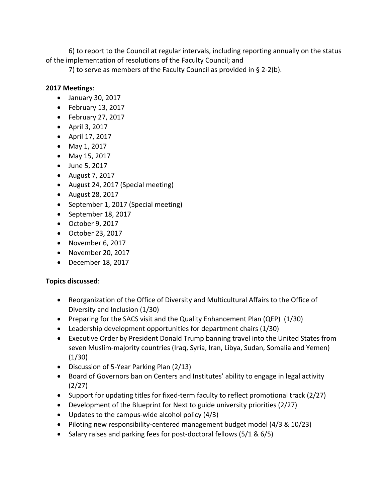6) to report to the Council at regular intervals, including reporting annually on the status of the implementation of resolutions of the Faculty Council; and

7) to serve as members of the Faculty Council as provided in  $\S$  2-2(b).

## **2017 Meetings**:

- January 30, 2017
- February 13, 2017
- February 27, 2017
- $\bullet$  April 3, 2017
- $\bullet$  April 17, 2017
- May 1, 2017
- May 15, 2017
- $\bullet$  June 5, 2017
- August  $7, 2017$
- August 24, 2017 (Special meeting)
- August 28, 2017
- September 1, 2017 (Special meeting)
- September 18, 2017
- October 9, 2017
- October 23, 2017
- November 6, 2017
- November 20, 2017
- December 18, 2017

# **Topics discussed**:

- Reorganization of the Office of Diversity and Multicultural Affairs to the Office of Diversity and Inclusion (1/30)
- Preparing for the SACS visit and the Quality Enhancement Plan (QEP) (1/30)
- Leadership development opportunities for department chairs  $(1/30)$
- Executive Order by President Donald Trump banning travel into the United States from seven Muslim-majority countries (Iraq, Syria, Iran, Libya, Sudan, Somalia and Yemen)  $(1/30)$
- Discussion of 5-Year Parking Plan (2/13)
- Board of Governors ban on Centers and Institutes' ability to engage in legal activity (2/27)
- Support for updating titles for fixed-term faculty to reflect promotional track (2/27)
- Development of the Blueprint for Next to guide university priorities (2/27)
- Updates to the campus-wide alcohol policy  $(4/3)$
- Piloting new responsibility-centered management budget model (4/3 & 10/23)
- Salary raises and parking fees for post-doctoral fellows  $(5/1 & 6/5)$